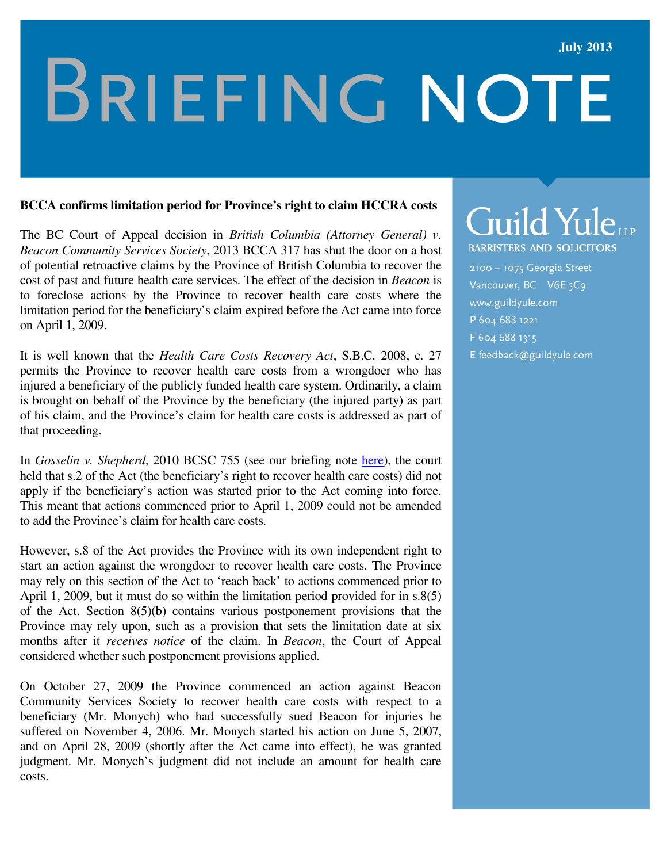### **July 2013**

# **BRIEFING NOTE**

#### **BCCA confirms limitation period for Province's right to claim HCCRA costs**

The BC Court of Appeal decision in *British Columbia (Attorney General) v. Beacon Community Services Society*, 2013 BCCA 317 has shut the door on a host of potential retroactive claims by the Province of British Columbia to recover the cost of past and future health care services. The effect of the decision in *Beacon* is to foreclose actions by the Province to recover health care costs where the limitation period for the beneficiary's claim expired before the Act came into force on April 1, 2009.

It is well known that the *Health Care Costs Recovery Act*, S.B.C. 2008, c. 27 permits the Province to recover health care costs from a wrongdoer who has injured a beneficiary of the publicly funded health care system. Ordinarily, a claim is brought on behalf of the Province by the beneficiary (the injured party) as part of his claim, and the Province's claim for health care costs is addressed as part of that proceeding.

In *Gosselin v. Shepherd*, 2010 BCSC 755 (see our briefing note here), the court held that s.2 of the Act (the beneficiary's right to recover health care costs) did not apply if the beneficiary's action was started prior to the Act coming into force. This meant that actions commenced prior to April 1, 2009 could not be amended to add the Province's claim for health care costs.

However, s.8 of the Act provides the Province with its own independent right to start an action against the wrongdoer to recover health care costs. The Province may rely on this section of the Act to 'reach back' to actions commenced prior to April 1, 2009, but it must do so within the limitation period provided for in s.8(5) of the Act. Section 8(5)(b) contains various postponement provisions that the Province may rely upon, such as a provision that sets the limitation date at six months after it *receives notice* of the claim. In *Beacon*, the Court of Appeal considered whether such postponement provisions applied.

On October 27, 2009 the Province commenced an action against Beacon Community Services Society to recover health care costs with respect to a beneficiary (Mr. Monych) who had successfully sued Beacon for injuries he suffered on November 4, 2006. Mr. Monych started his action on June 5, 2007, and on April 28, 2009 (shortly after the Act came into effect), he was granted judgment. Mr. Monych's judgment did not include an amount for health care costs.

# Guild Yule

**BARRISTERS AND SOLICITORS** 

2100 - 1075 Georgia Street Vancouver, BC V6E 3C9 www.guildyule.com P 604 688 1221 F 604 688 1315

E feedback@guildyule.com